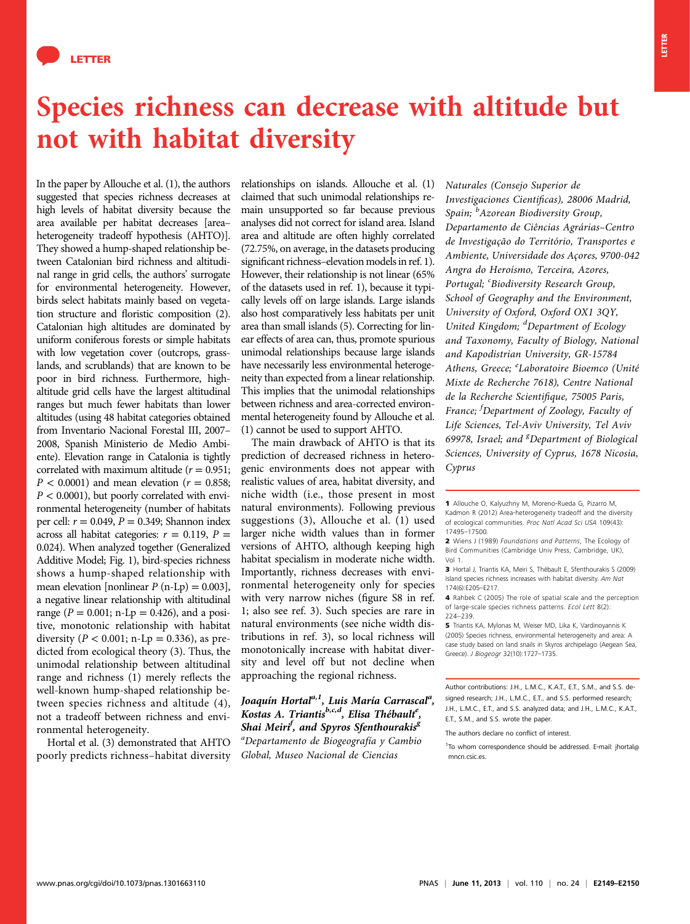

## Species richness can decrease with altitude but not with habitat diversity

In the paper by Allouche et al. (1), the authors suggested that species richness decreases at high levels of habitat diversity because the area available per habitat decreases [area– heterogeneity tradeoff hypothesis (AHTO)]. They showed a hump-shaped relationship between Catalonian bird richness and altitudinal range in grid cells, the authors' surrogate for environmental heterogeneity. However, birds select habitats mainly based on vegetation structure and floristic composition (2). Catalonian high altitudes are dominated by uniform coniferous forests or simple habitats with low vegetation cover (outcrops, grasslands, and scrublands) that are known to be poor in bird richness. Furthermore, highaltitude grid cells have the largest altitudinal ranges but much fewer habitats than lower altitudes (using 48 habitat categories obtained from Inventario Nacional Forestal III, 2007– 2008, Spanish Ministerio de Medio Ambiente). Elevation range in Catalonia is tightly correlated with maximum altitude ( $r = 0.951$ ;  $P < 0.0001$ ) and mean elevation ( $r = 0.858$ ;  $P < 0.0001$ ), but poorly correlated with environmental heterogeneity (number of habitats per cell:  $r = 0.049$ ,  $P = 0.349$ ; Shannon index across all habitat categories:  $r = 0.119$ ,  $P =$ 0.024). When analyzed together (Generalized Additive Model; Fig. 1), bird-species richness shows a hump-shaped relationship with mean elevation [nonlinear  $P$  (n-Lp) = 0.003], a negative linear relationship with altitudinal range ( $P = 0.001$ ; n-Lp = 0.426), and a positive, monotonic relationship with habitat diversity ( $P < 0.001$ ; n-Lp = 0.336), as predicted from ecological theory (3). Thus, the unimodal relationship between altitudinal range and richness (1) merely reflects the well-known hump-shaped relationship between species richness and altitude (4), not a tradeoff between richness and environmental heterogeneity.

Hortal et al. (3) demonstrated that AHTO poorly predicts richness–habitat diversity relationships on islands. Allouche et al. (1) claimed that such unimodal relationships remain unsupported so far because previous analyses did not correct for island area. Island area and altitude are often highly correlated (72.75%, on average, in the datasets producing significant richness–elevation models in ref. 1). However, their relationship is not linear (65% of the datasets used in ref. 1), because it typically levels off on large islands. Large islands also host comparatively less habitats per unit area than small islands (5). Correcting for linear effects of area can, thus, promote spurious unimodal relationships because large islands have necessarily less environmental heterogeneity than expected from a linear relationship. This implies that the unimodal relationships between richness and area-corrected environmental heterogeneity found by Allouche et al. (1) cannot be used to support AHTO.

The main drawback of AHTO is that its prediction of decreased richness in heterogenic environments does not appear with realistic values of area, habitat diversity, and niche width (i.e., those present in most natural environments). Following previous suggestions (3), Allouche et al. (1) used larger niche width values than in former versions of AHTO, although keeping high habitat specialism in moderate niche width. Importantly, richness decreases with environmental heterogeneity only for species with very narrow niches (figure S8 in ref. 1; also see ref. 3). Such species are rare in natural environments (see niche width distributions in ref. 3), so local richness will monotonically increase with habitat diversity and level off but not decline when approaching the regional richness.

Joaquín Hortal<sup>a,1</sup>, Luis María Carrascal<sup>a</sup>, Kostas A. Triantis<sup>b,c,d</sup>, Elisa Thébault<sup>e</sup>, Shai Meiri<sup>f</sup>, and Spyros Sfenthourakis<sup>8</sup> a Departamento de Biogeografía y Cambio Global, Museo Nacional de Ciencias

Naturales (Consejo Superior de Investigaciones Cientificas), 28006 Madrid, Spain; <sup>b</sup>Azorean Biodiversity Group, Departamento de Ciências Agrárias–Centro de Investigação do Território, Transportes e Ambiente, Universidade dos Açores, 9700-042 Angra do Heroísmo, Terceira, Azores, Portugal; <sup>c</sup>Biodiversity Research Group, School of Geography and the Environment, University of Oxford, Oxford OX1 3QY, United Kingdom; <sup>d</sup>Department of Ecology and Taxonomy, Faculty of Biology, National and Kapodistrian University, GR-15784 Athens, Greece; <sup>e</sup>Laboratoire Bioemco (Unité Mixte de Recherche 7618), Centre National de la Recherche Scientifique, 75005 Paris, France; <sup>f</sup> Department of Zoology, Faculty of Life Sciences, Tel-Aviv University, Tel Aviv 69978, Israel; and <sup>g</sup>Department of Biological Sciences, University of Cyprus, 1678 Nicosia, Cyprus

1 Allouche O, Kalyuzhny M, Moreno-Rueda G, Pizarro M, Kadmon R (2012) Area-heterogeneity tradeoff and the diversity of ecological communities. Proc Natl Acad Sci USA 109(43): 17495–17500.

4 Rahbek C (2005) The role of spatial scale and the perception of large-scale species richness patterns. Ecol Lett 8(2): 224–239.

5 Triantis KA, Mylonas M, Weiser MD, Lika K, Vardinoyannis K (2005) Species richness, environmental heterogeneity and area: A case study based on land snails in Skyros archipelago (Aegean Sea, Greece). J Biogeogr 32(10):1727–1735.

Author contributions: J.H., L.M.C., K.A.T., E.T., S.M., and S.S. designed research: J.H., L.M.C., E.T., and S.S. performed research: J.H., L.M.C., E.T., and S.S. analyzed data; and J.H., L.M.C., K.A.T., E.T., S.M., and S.S. wrote the paper.

The authors declare no conflict of interest.

<sup>1</sup>To whom correspondence should be addressed. E-mail: [jhortal@](mailto:jhortal@mncn.csic.es) [mncn.csic.es](mailto:jhortal@mncn.csic.es).

<sup>2</sup> Wiens J (1989) Foundations and Patterns, The Ecology of Bird Communities (Cambridge Univ Press, Cambridge, UK), Vol 1.

<sup>3</sup> Hortal J, Triantis KA, Meiri S, Thébault E, Sfenthourakis S (2009) Island species richness increases with habitat diversity. Am Nat 174(6):E205–E217.